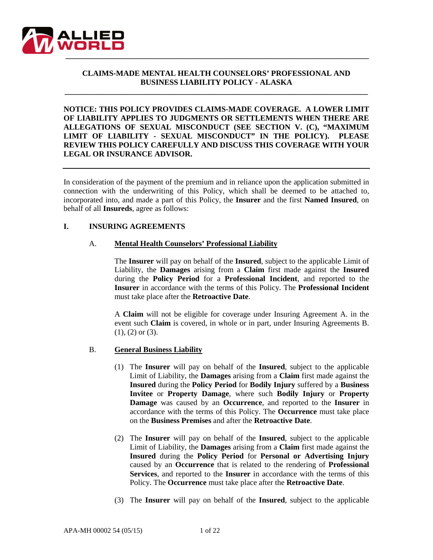

# **CLAIMS-MADE MENTAL HEALTH COUNSELORS' PROFESSIONAL AND BUSINESS LIABILITY POLICY - ALASKA**

**\_\_\_\_\_\_\_\_\_\_\_\_\_\_\_\_\_\_\_\_\_\_\_\_\_\_\_\_\_\_\_\_\_\_\_\_\_\_\_\_\_\_\_\_\_\_\_\_\_\_\_\_\_\_\_\_\_\_\_\_\_\_\_\_\_\_\_\_\_\_\_\_\_\_\_\_\_\_**

**NOTICE: THIS POLICY PROVIDES CLAIMS-MADE COVERAGE. A LOWER LIMIT OF LIABILITY APPLIES TO JUDGMENTS OR SETTLEMENTS WHEN THERE ARE ALLEGATIONS OF SEXUAL MISCONDUCT (SEE SECTION V. (C), "MAXIMUM LIMIT OF LIABILITY - SEXUAL MISCONDUCT" IN THE POLICY). PLEASE REVIEW THIS POLICY CAREFULLY AND DISCUSS THIS COVERAGE WITH YOUR LEGAL OR INSURANCE ADVISOR.**

In consideration of the payment of the premium and in reliance upon the application submitted in connection with the underwriting of this Policy, which shall be deemed to be attached to, incorporated into, and made a part of this Policy, the **Insurer** and the first **Named Insured**, on behalf of all **Insureds**, agree as follows:

#### **I. INSURING AGREEMENTS**

#### A. **Mental Health Counselors' Professional Liability**

The **Insurer** will pay on behalf of the **Insured**, subject to the applicable Limit of Liability, the **Damages** arising from a **Claim** first made against the **Insured** during the **Policy Period** for a **Professional Incident**, and reported to the **Insurer** in accordance with the terms of this Policy. The **Professional Incident** must take place after the **Retroactive Date**.

A **Claim** will not be eligible for coverage under Insuring Agreement A. in the event such **Claim** is covered, in whole or in part, under Insuring Agreements B. (1), (2) or (3).

#### B. **General Business Liability**

- (1) The **Insurer** will pay on behalf of the **Insured**, subject to the applicable Limit of Liability, the **Damages** arising from a **Claim** first made against the **Insured** during the **Policy Period** for **Bodily Injury** suffered by a **Business Invitee** or **Property Damage**, where such **Bodily Injury** or **Property Damage** was caused by an **Occurrence**, and reported to the **Insurer** in accordance with the terms of this Policy. The **Occurrence** must take place on the **Business Premises** and after the **Retroactive Date**.
- (2) The **Insurer** will pay on behalf of the **Insured**, subject to the applicable Limit of Liability, the **Damages** arising from a **Claim** first made against the **Insured** during the **Policy Period** for **Personal or Advertising Injury** caused by an **Occurrence** that is related to the rendering of **Professional Services**, and reported to the **Insurer** in accordance with the terms of this Policy. The **Occurrence** must take place after the **Retroactive Date**.
- (3) The **Insurer** will pay on behalf of the **Insured**, subject to the applicable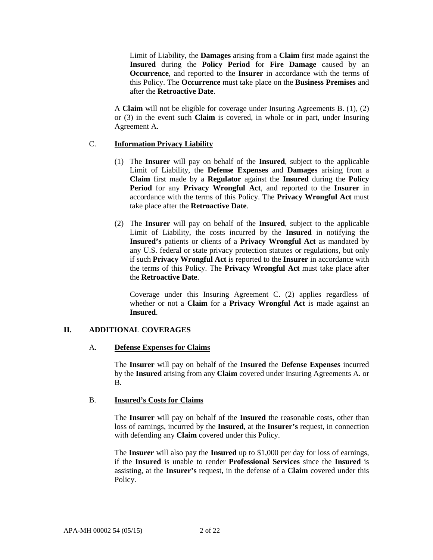Limit of Liability, the **Damages** arising from a **Claim** first made against the **Insured** during the **Policy Period** for **Fire Damage** caused by an **Occurrence**, and reported to the **Insurer** in accordance with the terms of this Policy. The **Occurrence** must take place on the **Business Premises** and after the **Retroactive Date**.

A **Claim** will not be eligible for coverage under Insuring Agreements B. (1), (2) or (3) in the event such **Claim** is covered, in whole or in part, under Insuring Agreement A.

# C. **Information Privacy Liability**

- (1) The **Insurer** will pay on behalf of the **Insured**, subject to the applicable Limit of Liability, the **Defense Expenses** and **Damages** arising from a **Claim** first made by a **Regulator** against the **Insured** during the **Policy Period** for any **Privacy Wrongful Act**, and reported to the **Insurer** in accordance with the terms of this Policy. The **Privacy Wrongful Act** must take place after the **Retroactive Date**.
- (2) The **Insurer** will pay on behalf of the **Insured**, subject to the applicable Limit of Liability, the costs incurred by the **Insured** in notifying the **Insured's** patients or clients of a **Privacy Wrongful Act** as mandated by any U.S. federal or state privacy protection statutes or regulations, but only if such **Privacy Wrongful Act** is reported to the **Insurer** in accordance with the terms of this Policy. The **Privacy Wrongful Act** must take place after the **Retroactive Date**.

Coverage under this Insuring Agreement C. (2) applies regardless of whether or not a **Claim** for a **Privacy Wrongful Act** is made against an **Insured**.

## **II. ADDITIONAL COVERAGES**

## A. **Defense Expenses for Claims**

The **Insurer** will pay on behalf of the **Insured** the **Defense Expenses** incurred by the **Insured** arising from any **Claim** covered under Insuring Agreements A. or B.

## B. **Insured's Costs for Claims**

The **Insurer** will pay on behalf of the **Insured** the reasonable costs, other than loss of earnings, incurred by the **Insured**, at the **Insurer's** request, in connection with defending any **Claim** covered under this Policy.

The **Insurer** will also pay the **Insured** up to \$1,000 per day for loss of earnings, if the **Insured** is unable to render **Professional Services** since the **Insured** is assisting, at the **Insurer's** request, in the defense of a **Claim** covered under this Policy.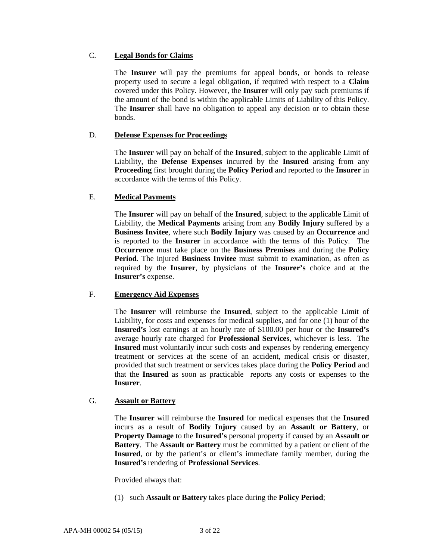# C. **Legal Bonds for Claims**

The **Insurer** will pay the premiums for appeal bonds, or bonds to release property used to secure a legal obligation, if required with respect to a **Claim** covered under this Policy. However, the **Insurer** will only pay such premiums if the amount of the bond is within the applicable Limits of Liability of this Policy. The **Insurer** shall have no obligation to appeal any decision or to obtain these bonds.

# D. **Defense Expenses for Proceedings**

The **Insurer** will pay on behalf of the **Insured**, subject to the applicable Limit of Liability, the **Defense Expenses** incurred by the **Insured** arising from any **Proceeding** first brought during the **Policy Period** and reported to the **Insurer** in accordance with the terms of this Policy.

# E. **Medical Payments**

The **Insurer** will pay on behalf of the **Insured**, subject to the applicable Limit of Liability, the **Medical Payments** arising from any **Bodily Injury** suffered by a **Business Invitee**, where such **Bodily Injury** was caused by an **Occurrence** and is reported to the **Insurer** in accordance with the terms of this Policy. The **Occurrence** must take place on the **Business Premises** and during the **Policy Period**. The injured **Business Invitee** must submit to examination, as often as required by the **Insurer**, by physicians of the **Insurer's** choice and at the **Insurer's** expense.

## F. **Emergency Aid Expenses**

The **Insurer** will reimburse the **Insured**, subject to the applicable Limit of Liability, for costs and expenses for medical supplies, and for one (1) hour of the **Insured's** lost earnings at an hourly rate of \$100.00 per hour or the **Insured's** average hourly rate charged for **Professional Services**, whichever is less. The **Insured** must voluntarily incur such costs and expenses by rendering emergency treatment or services at the scene of an accident, medical crisis or disaster, provided that such treatment or services takes place during the **Policy Period** and that the **Insured** as soon as practicable reports any costs or expenses to the **Insurer**.

# G. **Assault or Battery**

The **Insurer** will reimburse the **Insured** for medical expenses that the **Insured** incurs as a result of **Bodily Injury** caused by an **Assault or Battery**, or **Property Damage** to the **Insured's** personal property if caused by an **Assault or Battery**. The **Assault or Battery** must be committed by a patient or client of the **Insured**, or by the patient's or client's immediate family member, during the **Insured's** rendering of **Professional Services**.

Provided always that:

(1) such **Assault or Battery** takes place during the **Policy Period**;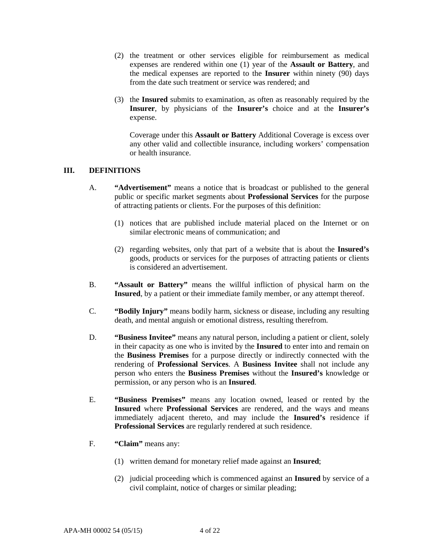- (2) the treatment or other services eligible for reimbursement as medical expenses are rendered within one (1) year of the **Assault or Battery**, and the medical expenses are reported to the **Insurer** within ninety (90) days from the date such treatment or service was rendered; and
- (3) the **Insured** submits to examination, as often as reasonably required by the **Insurer**, by physicians of the **Insurer's** choice and at the **Insurer's** expense.

Coverage under this **Assault or Battery** Additional Coverage is excess over any other valid and collectible insurance, including workers' compensation or health insurance.

## **III. DEFINITIONS**

- A. **"Advertisement"** means a notice that is broadcast or published to the general public or specific market segments about **Professional Services** for the purpose of attracting patients or clients. For the purposes of this definition:
	- (1) notices that are published include material placed on the Internet or on similar electronic means of communication; and
	- (2) regarding websites, only that part of a website that is about the **Insured's** goods, products or services for the purposes of attracting patients or clients is considered an advertisement.
- B. **"Assault or Battery"** means the willful infliction of physical harm on the **Insured**, by a patient or their immediate family member, or any attempt thereof.
- C. **"Bodily Injury"** means bodily harm, sickness or disease, including any resulting death, and mental anguish or emotional distress, resulting therefrom.
- D. **"Business Invitee"** means any natural person, including a patient or client, solely in their capacity as one who is invited by the **Insured** to enter into and remain on the **Business Premises** for a purpose directly or indirectly connected with the rendering of **Professional Services**. A **Business Invitee** shall not include any person who enters the **Business Premises** without the **Insured's** knowledge or permission, or any person who is an **Insured**.
- E. **"Business Premises"** means any location owned, leased or rented by the **Insured** where **Professional Services** are rendered, and the ways and means immediately adjacent thereto, and may include the **Insured's** residence if **Professional Services** are regularly rendered at such residence.
- F. **"Claim"** means any:
	- (1) written demand for monetary relief made against an **Insured**;
	- (2) judicial proceeding which is commenced against an **Insured** by service of a civil complaint, notice of charges or similar pleading;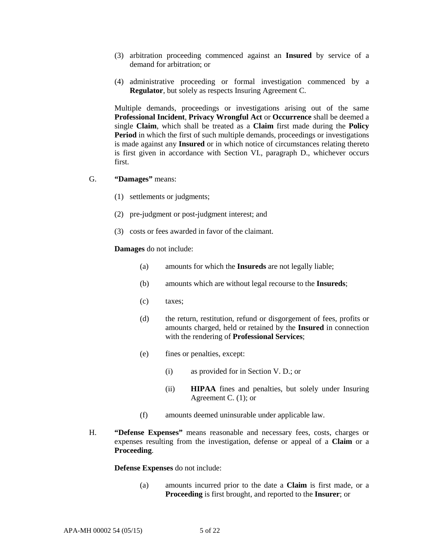- (3) arbitration proceeding commenced against an **Insured** by service of a demand for arbitration; or
- (4) administrative proceeding or formal investigation commenced by a **Regulator**, but solely as respects Insuring Agreement C.

Multiple demands, proceedings or investigations arising out of the same **Professional Incident**, **Privacy Wrongful Act** or **Occurrence** shall be deemed a single **Claim**, which shall be treated as a **Claim** first made during the **Policy Period** in which the first of such multiple demands, proceedings or investigations is made against any **Insured** or in which notice of circumstances relating thereto is first given in accordance with Section VI., paragraph D., whichever occurs first.

- G. **"Damages"** means:
	- (1) settlements or judgments;
	- (2) pre-judgment or post-judgment interest; and
	- (3) costs or fees awarded in favor of the claimant.

#### **Damages** do not include:

- (a) amounts for which the **Insureds** are not legally liable;
- (b) amounts which are without legal recourse to the **Insureds**;
- (c) taxes;
- (d) the return, restitution, refund or disgorgement of fees, profits or amounts charged, held or retained by the **Insured** in connection with the rendering of **Professional Services**;
- (e) fines or penalties, except:
	- (i) as provided for in Section V. D.; or
	- (ii) **HIPAA** fines and penalties, but solely under Insuring Agreement C. (1); or
- (f) amounts deemed uninsurable under applicable law.
- H. **"Defense Expenses"** means reasonable and necessary fees, costs, charges or expenses resulting from the investigation, defense or appeal of a **Claim** or a **Proceeding**.

**Defense Expenses** do not include:

(a) amounts incurred prior to the date a **Claim** is first made, or a **Proceeding** is first brought, and reported to the **Insurer**; or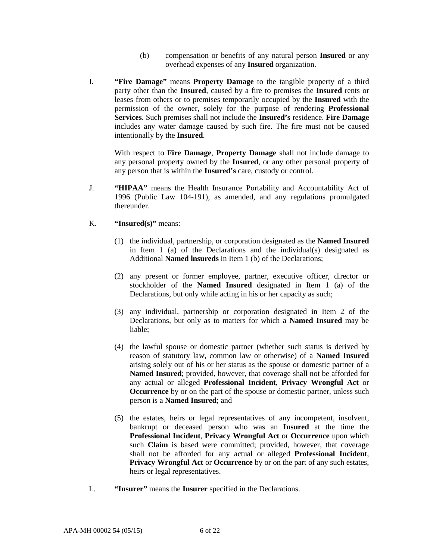- (b) compensation or benefits of any natural person **Insured** or any overhead expenses of any **Insured** organization.
- I. **"Fire Damage"** means **Property Damage** to the tangible property of a third party other than the **Insured**, caused by a fire to premises the **Insured** rents or leases from others or to premises temporarily occupied by the **Insured** with the permission of the owner, solely for the purpose of rendering **Professional Services**. Such premises shall not include the **Insured's** residence. **Fire Damage** includes any water damage caused by such fire. The fire must not be caused intentionally by the **Insured**.

With respect to **Fire Damage**, **Property Damage** shall not include damage to any personal property owned by the **Insured**, or any other personal property of any person that is within the **Insured's** care, custody or control.

- J. **"HIPAA"** means the Health Insurance Portability and Accountability Act of 1996 (Public Law 104-191), as amended, and any regulations promulgated thereunder.
- K. **"Insured(s)"** means:
	- (1) the individual, partnership, or corporation designated as the **Named Insured** in Item  $1$  (a) of the Declarations and the individual(s) designated as Additional **Named lnsureds** in Item 1 (b) of the Declarations;
	- (2) any present or former employee, partner, executive officer, director or stockholder of the **Named Insured** designated in Item 1 (a) of the Declarations, but only while acting in his or her capacity as such;
	- (3) any individual, partnership or corporation designated in Item 2 of the Declarations, but only as to matters for which a **Named Insured** may be liable;
	- (4) the lawful spouse or domestic partner (whether such status is derived by reason of statutory law, common law or otherwise) of a **Named Insured** arising solely out of his or her status as the spouse or domestic partner of a **Named Insured**; provided, however, that coverage shall not be afforded for any actual or alleged **Professional Incident**, **Privacy Wrongful Act** or **Occurrence** by or on the part of the spouse or domestic partner, unless such person is a **Named Insured**; and
	- (5) the estates, heirs or legal representatives of any incompetent, insolvent, bankrupt or deceased person who was an **Insured** at the time the **Professional Incident**, **Privacy Wrongful Act** or **Occurrence** upon which such **Claim** is based were committed; provided, however, that coverage shall not be afforded for any actual or alleged **Professional Incident**, **Privacy Wrongful Act** or **Occurrence** by or on the part of any such estates, heirs or legal representatives.
- L. **"Insurer"** means the **Insurer** specified in the Declarations.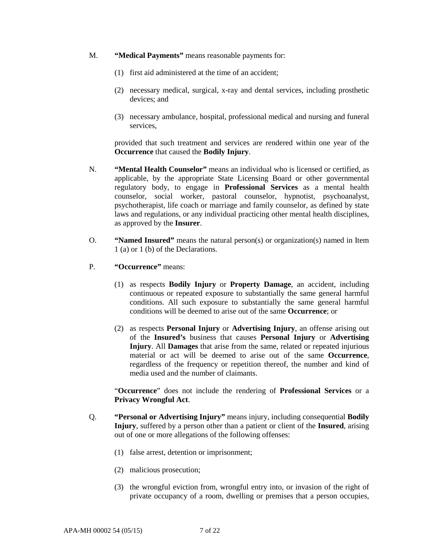- M. **"Medical Payments"** means reasonable payments for:
	- (1) first aid administered at the time of an accident;
	- (2) necessary medical, surgical, x-ray and dental services, including prosthetic devices; and
	- (3) necessary ambulance, hospital, professional medical and nursing and funeral services,

provided that such treatment and services are rendered within one year of the **Occurrence** that caused the **Bodily Injury**.

- N. **"Mental Health Counselor"** means an individual who is licensed or certified, as applicable, by the appropriate State Licensing Board or other governmental regulatory body, to engage in **Professional Services** as a mental health counselor, social worker, pastoral counselor, hypnotist, psychoanalyst, psychotherapist, life coach or marriage and family counselor, as defined by state laws and regulations, or any individual practicing other mental health disciplines, as approved by the **Insurer**.
- O. **"Named Insured"** means the natural person(s) or organization(s) named in Item 1 (a) or 1 (b) of the Declarations.
- P. **"Occurrence"** means:
	- (1) as respects **Bodily Injury** or **Property Damage**, an accident, including continuous or repeated exposure to substantially the same general harmful conditions. All such exposure to substantially the same general harmful conditions will be deemed to arise out of the same **Occurrence**; or
	- (2) as respects **Personal Injury** or **Advertising Injury**, an offense arising out of the **Insured's** business that causes **Personal Injury** or **Advertising Injury**. All **Damages** that arise from the same, related or repeated injurious material or act will be deemed to arise out of the same **Occurrence**, regardless of the frequency or repetition thereof, the number and kind of media used and the number of claimants.

"**Occurrence**" does not include the rendering of **Professional Services** or a **Privacy Wrongful Act**.

- Q. **"Personal or Advertising Injury"** means injury, including consequential **Bodily Injury**, suffered by a person other than a patient or client of the **Insured**, arising out of one or more allegations of the following offenses:
	- (1) false arrest, detention or imprisonment;
	- (2) malicious prosecution;
	- (3) the wrongful eviction from, wrongful entry into, or invasion of the right of private occupancy of a room, dwelling or premises that a person occupies,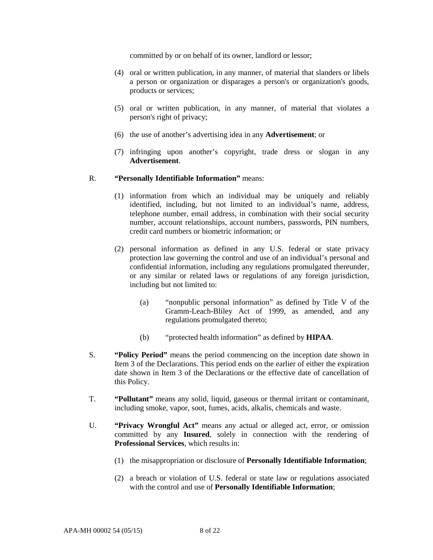committed by or on behalf of its owner, landlord or lessor;

- (4) oral or written publication, in any manner, of material that slanders or libels a person or organization or disparages a person's or organization's goods, products or services;
- (5) oral or written publication, in any manner, of material that violates a person's right of privacy;
- (6) the use of another's advertising idea in any **Advertisement**; or
- (7) infringing upon another's copyright, trade dress or slogan in any **Advertisement**.

#### R. **"Personally Identifiable Information"** means:

- (1) information from which an individual may be uniquely and reliably identified, including, but not limited to an individual's name, address, telephone number, email address, in combination with their social security number, account relationships, account numbers, passwords, PIN numbers, credit card numbers or biometric information; or
- (2) personal information as defined in any U.S. federal or state privacy protection law governing the control and use of an individual's personal and confidential information, including any regulations promulgated thereunder, or any similar or related laws or regulations of any foreign jurisdiction, including but not limited to:
	- (a) "nonpublic personal information" as defined by Title V of the Gramm-Leach-Bliley Act of 1999, as amended, and any regulations promulgated thereto;
	- (b) "protected health information" as defined by **HIPAA**.
- S. **"Policy Period"** means the period commencing on the inception date shown in Item 3 of the Declarations. This period ends on the earlier of either the expiration date shown in Item 3 of the Declarations or the effective date of cancellation of this Policy.
- T. **"Pollutant"** means any solid, liquid, gaseous or thermal irritant or contaminant, including smoke, vapor, soot, fumes, acids, alkalis, chemicals and waste.
- U. **"Privacy Wrongful Act"** means any actual or alleged act, error, or omission committed by any **Insured**, solely in connection with the rendering of **Professional Services**, which results in:
	- (1) the misappropriation or disclosure of **Personally Identifiable Information**;
	- (2) a breach or violation of U.S. federal or state law or regulations associated with the control and use of **Personally Identifiable Information**;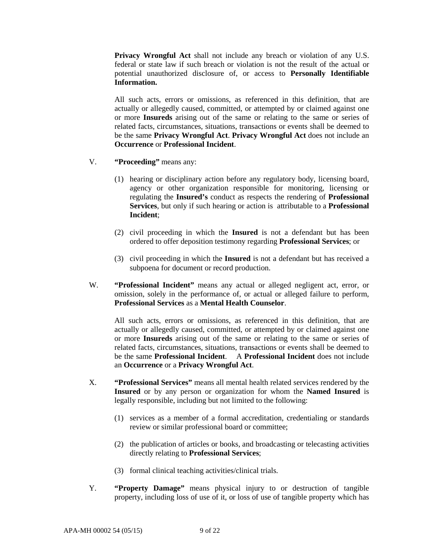**Privacy Wrongful Act** shall not include any breach or violation of any U.S. federal or state law if such breach or violation is not the result of the actual or potential unauthorized disclosure of, or access to **Personally Identifiable Information.** 

All such acts, errors or omissions, as referenced in this definition, that are actually or allegedly caused, committed, or attempted by or claimed against one or more **Insureds** arising out of the same or relating to the same or series of related facts, circumstances, situations, transactions or events shall be deemed to be the same **Privacy Wrongful Act**. **Privacy Wrongful Act** does not include an **Occurrence** or **Professional Incident**.

- V. **"Proceeding"** means any:
	- (1) hearing or disciplinary action before any regulatory body, licensing board, agency or other organization responsible for monitoring, licensing or regulating the **Insured's** conduct as respects the rendering of **Professional Services**, but only if such hearing or action is attributable to a **Professional Incident**;
	- (2) civil proceeding in which the **Insured** is not a defendant but has been ordered to offer deposition testimony regarding **Professional Services**; or
	- (3) civil proceeding in which the **Insured** is not a defendant but has received a subpoena for document or record production.
- W. **"Professional Incident"** means any actual or alleged negligent act, error, or omission, solely in the performance of, or actual or alleged failure to perform, **Professional Services** as a **Mental Health Counselor**.

All such acts, errors or omissions, as referenced in this definition, that are actually or allegedly caused, committed, or attempted by or claimed against one or more **Insureds** arising out of the same or relating to the same or series of related facts, circumstances, situations, transactions or events shall be deemed to be the same **Professional Incident**. A **Professional Incident** does not include an **Occurrence** or a **Privacy Wrongful Act**.

- X. **"Professional Services"** means all mental health related services rendered by the **Insured** or by any person or organization for whom the **Named Insured** is legally responsible, including but not limited to the following:
	- (1) services as a member of a formal accreditation, credentialing or standards review or similar professional board or committee;
	- (2) the publication of articles or books, and broadcasting or telecasting activities directly relating to **Professional Services**;
	- (3) formal clinical teaching activities/clinical trials.
- Y. **"Property Damage"** means physical injury to or destruction of tangible property, including loss of use of it, or loss of use of tangible property which has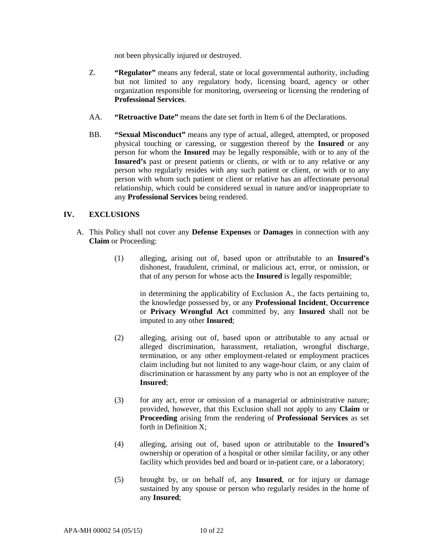not been physically injured or destroyed.

- Z. **"Regulator"** means any federal, state or local governmental authority, including but not limited to any regulatory body, licensing board, agency or other organization responsible for monitoring, overseeing or licensing the rendering of **Professional Services**.
- AA. **"Retroactive Date"** means the date set forth in Item 6 of the Declarations.
- BB. **"Sexual Misconduct"** means any type of actual, alleged, attempted, or proposed physical touching or caressing, or suggestion thereof by the **Insured** or any person for whom the **Insured** may be legally responsible, with or to any of the **Insured's** past or present patients or clients, or with or to any relative or any person who regularly resides with any such patient or client, or with or to any person with whom such patient or client or relative has an affectionate personal relationship, which could be considered sexual in nature and/or inappropriate to any **Professional Services** being rendered.

# **IV. EXCLUSIONS**

- A. This Policy shall not cover any **Defense Expenses** or **Damages** in connection with any **Claim** or Proceeding:
	- (1) alleging, arising out of, based upon or attributable to an **Insured's** dishonest, fraudulent, criminal, or malicious act, error, or omission, or that of any person for whose acts the **Insured** is legally responsible;

in determining the applicability of Exclusion A., the facts pertaining to, the knowledge possessed by, or any **Professional Incident**, **Occurrence** or **Privacy Wrongful Act** committed by, any **Insured** shall not be imputed to any other **Insured**;

- (2) alleging, arising out of, based upon or attributable to any actual or alleged discrimination, harassment, retaliation, wrongful discharge, termination, or any other employment-related or employment practices claim including but not limited to any wage-hour claim, or any claim of discrimination or harassment by any party who is not an employee of the **Insured**;
- (3) for any act, error or omission of a managerial or administrative nature; provided, however, that this Exclusion shall not apply to any **Claim** or **Proceeding** arising from the rendering of **Professional Services** as set forth in Definition X;
- (4) alleging, arising out of, based upon or attributable to the **Insured's** ownership or operation of a hospital or other similar facility, or any other facility which provides bed and board or in-patient care, or a laboratory;
- (5) brought by, or on behalf of, any **Insured**, or for injury or damage sustained by any spouse or person who regularly resides in the home of any **Insured**;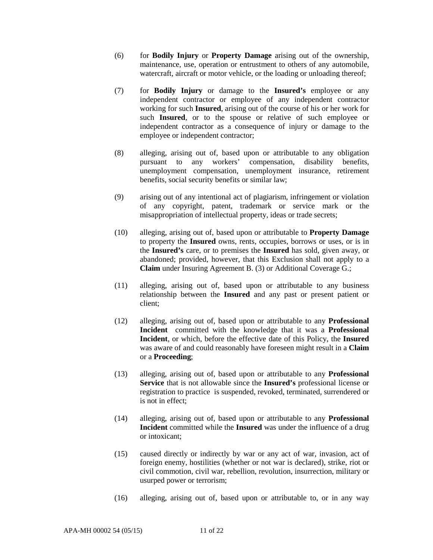- (6) for **Bodily Injury** or **Property Damage** arising out of the ownership, maintenance, use, operation or entrustment to others of any automobile, watercraft, aircraft or motor vehicle, or the loading or unloading thereof;
- (7) for **Bodily Injury** or damage to the **Insured's** employee or any independent contractor or employee of any independent contractor working for such **Insured**, arising out of the course of his or her work for such **Insured**, or to the spouse or relative of such employee or independent contractor as a consequence of injury or damage to the employee or independent contractor;
- (8) alleging, arising out of, based upon or attributable to any obligation pursuant to any workers' compensation, disability benefits, unemployment compensation, unemployment insurance, retirement benefits, social security benefits or similar law;
- (9) arising out of any intentional act of plagiarism, infringement or violation of any copyright, patent, trademark or service mark or the misappropriation of intellectual property, ideas or trade secrets;
- (10) alleging, arising out of, based upon or attributable to **Property Damage** to property the **Insured** owns, rents, occupies, borrows or uses, or is in the **Insured's** care, or to premises the **Insured** has sold, given away, or abandoned; provided, however, that this Exclusion shall not apply to a **Claim** under Insuring Agreement B. (3) or Additional Coverage G.;
- (11) alleging, arising out of, based upon or attributable to any business relationship between the **Insured** and any past or present patient or client;
- (12) alleging, arising out of, based upon or attributable to any **Professional Incident** committed with the knowledge that it was a **Professional Incident**, or which, before the effective date of this Policy, the **Insured** was aware of and could reasonably have foreseen might result in a **Claim** or a **Proceeding**;
- (13) alleging, arising out of, based upon or attributable to any **Professional Service** that is not allowable since the **Insured's** professional license or registration to practice is suspended, revoked, terminated, surrendered or is not in effect;
- (14) alleging, arising out of, based upon or attributable to any **Professional Incident** committed while the **Insured** was under the influence of a drug or intoxicant;
- (15) caused directly or indirectly by war or any act of war, invasion, act of foreign enemy, hostilities (whether or not war is declared), strike, riot or civil commotion, civil war, rebellion, revolution, insurrection, military or usurped power or terrorism;
- (16) alleging, arising out of, based upon or attributable to, or in any way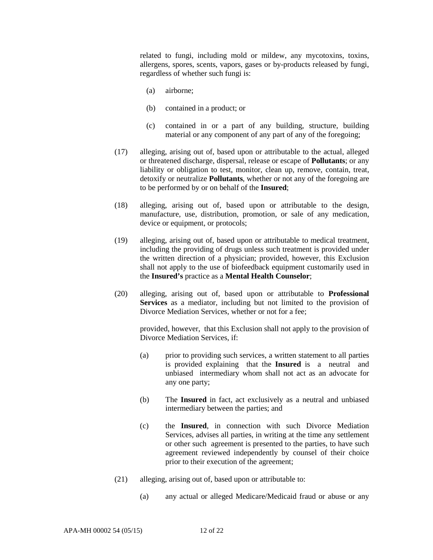related to fungi, including mold or mildew, any mycotoxins, toxins, allergens, spores, scents, vapors, gases or by-products released by fungi, regardless of whether such fungi is:

- (a) airborne;
- (b) contained in a product; or
- (c) contained in or a part of any building, structure, building material or any component of any part of any of the foregoing;
- (17) alleging, arising out of, based upon or attributable to the actual, alleged or threatened discharge, dispersal, release or escape of **Pollutants**; or any liability or obligation to test, monitor, clean up, remove, contain, treat, detoxify or neutralize **Pollutants**, whether or not any of the foregoing are to be performed by or on behalf of the **Insured**;
- (18) alleging, arising out of, based upon or attributable to the design, manufacture, use, distribution, promotion, or sale of any medication, device or equipment, or protocols;
- (19) alleging, arising out of, based upon or attributable to medical treatment, including the providing of drugs unless such treatment is provided under the written direction of a physician; provided, however, this Exclusion shall not apply to the use of biofeedback equipment customarily used in the **Insured's** practice as a **Mental Health Counselor**;
- (20) alleging, arising out of, based upon or attributable to **Professional Services** as a mediator, including but not limited to the provision of Divorce Mediation Services, whether or not for a fee;

provided, however, that this Exclusion shall not apply to the provision of Divorce Mediation Services, if:

- (a) prior to providing such services, a written statement to all parties is provided explaining that the **Insured** is a neutral and unbiased intermediary whom shall not act as an advocate for any one party;
- (b) The **Insured** in fact, act exclusively as a neutral and unbiased intermediary between the parties; and
- (c) the **Insured**, in connection with such Divorce Mediation Services, advises all parties, in writing at the time any settlement or other such agreement is presented to the parties, to have such agreement reviewed independently by counsel of their choice prior to their execution of the agreement;
- (21) alleging, arising out of, based upon or attributable to:
	- (a) any actual or alleged Medicare/Medicaid fraud or abuse or any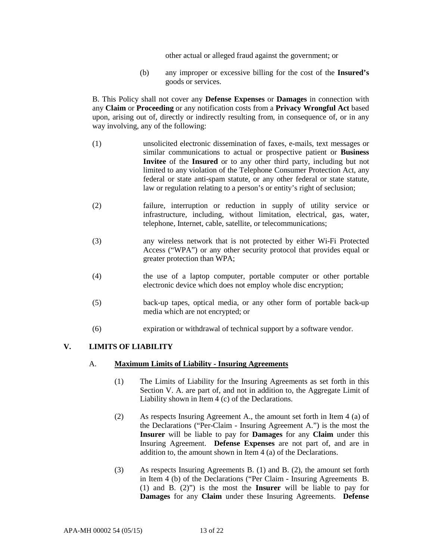other actual or alleged fraud against the government; or

(b) any improper or excessive billing for the cost of the **Insured's**  goods or services.

B. This Policy shall not cover any **Defense Expenses** or **Damages** in connection with any **Claim** or **Proceeding** or any notification costs from a **Privacy Wrongful Act** based upon, arising out of, directly or indirectly resulting from, in consequence of, or in any way involving, any of the following:

- (1) unsolicited electronic dissemination of faxes, e-mails, text messages or similar communications to actual or prospective patient or **Business Invitee** of the **Insured** or to any other third party, including but not limited to any violation of the Telephone Consumer Protection Act, any federal or state anti-spam statute, or any other federal or state statute, law or regulation relating to a person's or entity's right of seclusion;
- (2) failure, interruption or reduction in supply of utility service or infrastructure, including, without limitation, electrical, gas, water, telephone, Internet, cable, satellite, or telecommunications;
- (3) any wireless network that is not protected by either Wi-Fi Protected Access ("WPA") or any other security protocol that provides equal or greater protection than WPA;
- (4) the use of a laptop computer, portable computer or other portable electronic device which does not employ whole disc encryption;
- (5) back-up tapes, optical media, or any other form of portable back-up media which are not encrypted; or
- (6) expiration or withdrawal of technical support by a software vendor.

# **V. LIMITS OF LIABILITY**

## A. **Maximum Limits of Liability - Insuring Agreements**

- (1) The Limits of Liability for the Insuring Agreements as set forth in this Section V. A. are part of, and not in addition to, the Aggregate Limit of Liability shown in Item 4 (c) of the Declarations.
- (2) As respects Insuring Agreement A., the amount set forth in Item 4 (a) of the Declarations ("Per-Claim - Insuring Agreement A.") is the most the **Insurer** will be liable to pay for **Damages** for any **Claim** under this Insuring Agreement. **Defense Expenses** are not part of, and are in addition to, the amount shown in Item 4 (a) of the Declarations.
- (3) As respects Insuring Agreements B. (1) and B. (2), the amount set forth in Item 4 (b) of the Declarations ("Per Claim - Insuring Agreements B. (1) and B. (2)") is the most the **Insurer** will be liable to pay for **Damages** for any **Claim** under these Insuring Agreements. **Defense**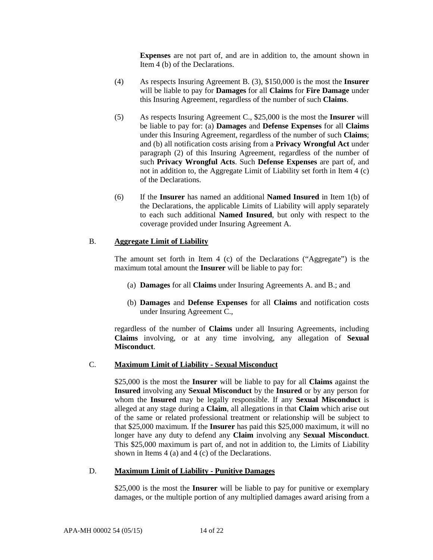**Expenses** are not part of, and are in addition to, the amount shown in Item 4 (b) of the Declarations.

- (4) As respects Insuring Agreement B. (3), \$150,000 is the most the **Insurer** will be liable to pay for **Damages** for all **Claims** for **Fire Damage** under this Insuring Agreement, regardless of the number of such **Claims**.
- (5) As respects Insuring Agreement C., \$25,000 is the most the **Insurer** will be liable to pay for: (a) **Damages** and **Defense Expenses** for all **Claims** under this Insuring Agreement, regardless of the number of such **Claims**; and (b) all notification costs arising from a **Privacy Wrongful Act** under paragraph (2) of this Insuring Agreement, regardless of the number of such **Privacy Wrongful Acts**. Such **Defense Expenses** are part of, and not in addition to, the Aggregate Limit of Liability set forth in Item 4 (c) of the Declarations.
- (6) If the **Insurer** has named an additional **Named Insured** in Item 1(b) of the Declarations, the applicable Limits of Liability will apply separately to each such additional **Named Insured**, but only with respect to the coverage provided under Insuring Agreement A.

# B. **Aggregate Limit of Liability**

The amount set forth in Item 4 (c) of the Declarations ("Aggregate") is the maximum total amount the **Insurer** will be liable to pay for:

- (a) **Damages** for all **Claims** under Insuring Agreements A. and B.; and
- (b) **Damages** and **Defense Expenses** for all **Claims** and notification costs under Insuring Agreement C.,

regardless of the number of **Claims** under all Insuring Agreements, including **Claims** involving, or at any time involving, any allegation of **Sexual Misconduct**.

## C. **Maximum Limit of Liability - Sexual Misconduct**

\$25,000 is the most the **Insurer** will be liable to pay for all **Claims** against the **Insured** involving any **Sexual Misconduct** by the **Insured** or by any person for whom the **Insured** may be legally responsible. If any **Sexual Misconduct** is alleged at any stage during a **Claim**, all allegations in that **Claim** which arise out of the same or related professional treatment or relationship will be subject to that \$25,000 maximum. If the **Insurer** has paid this \$25,000 maximum, it will no longer have any duty to defend any **Claim** involving any **Sexual Misconduct**. This \$25,000 maximum is part of, and not in addition to, the Limits of Liability shown in Items 4 (a) and 4 (c) of the Declarations.

## D. **Maximum Limit of Liability - Punitive Damages**

\$25,000 is the most the **Insurer** will be liable to pay for punitive or exemplary damages, or the multiple portion of any multiplied damages award arising from a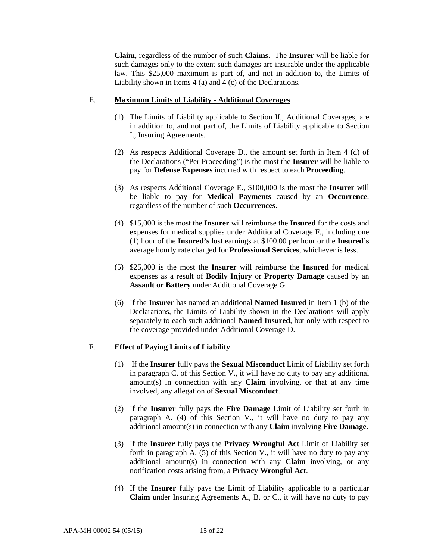**Claim**, regardless of the number of such **Claims**. The **Insurer** will be liable for such damages only to the extent such damages are insurable under the applicable law. This \$25,000 maximum is part of, and not in addition to, the Limits of Liability shown in Items 4 (a) and 4 (c) of the Declarations.

#### E. **Maximum Limits of Liability - Additional Coverages**

- (1) The Limits of Liability applicable to Section II., Additional Coverages, are in addition to, and not part of, the Limits of Liability applicable to Section I., Insuring Agreements.
- (2) As respects Additional Coverage D., the amount set forth in Item 4 (d) of the Declarations ("Per Proceeding") is the most the **Insurer** will be liable to pay for **Defense Expenses** incurred with respect to each **Proceeding**.
- (3) As respects Additional Coverage E., \$100,000 is the most the **Insurer** will be liable to pay for **Medical Payments** caused by an **Occurrence**, regardless of the number of such **Occurrences**.
- (4) \$15,000 is the most the **Insurer** will reimburse the **Insured** for the costs and expenses for medical supplies under Additional Coverage F., including one (1) hour of the **Insured's** lost earnings at \$100.00 per hour or the **Insured's** average hourly rate charged for **Professional Services**, whichever is less.
- (5) \$25,000 is the most the **Insurer** will reimburse the **Insured** for medical expenses as a result of **Bodily Injury** or **Property Damage** caused by an **Assault or Battery** under Additional Coverage G.
- (6) If the **Insurer** has named an additional **Named Insured** in Item 1 (b) of the Declarations, the Limits of Liability shown in the Declarations will apply separately to each such additional **Named Insured**, but only with respect to the coverage provided under Additional Coverage D.

## F. **Effect of Paying Limits of Liability**

- (1) If the **Insurer** fully pays the **Sexual Misconduct** Limit of Liability set forth in paragraph C. of this Section V., it will have no duty to pay any additional amount(s) in connection with any **Claim** involving, or that at any time involved, any allegation of **Sexual Misconduct**.
- (2) If the **Insurer** fully pays the **Fire Damage** Limit of Liability set forth in paragraph A. (4) of this Section V., it will have no duty to pay any additional amount(s) in connection with any **Claim** involving **Fire Damage**.
- (3) If the **Insurer** fully pays the **Privacy Wrongful Act** Limit of Liability set forth in paragraph A. (5) of this Section V., it will have no duty to pay any additional amount(s) in connection with any **Claim** involving, or any notification costs arising from, a **Privacy Wrongful Act**.
- (4) If the **Insurer** fully pays the Limit of Liability applicable to a particular **Claim** under Insuring Agreements A., B. or C., it will have no duty to pay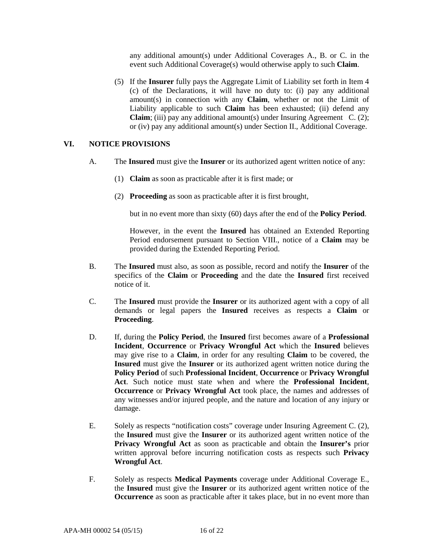any additional amount(s) under Additional Coverages A., B. or C. in the event such Additional Coverage(s) would otherwise apply to such **Claim**.

(5) If the **Insurer** fully pays the Aggregate Limit of Liability set forth in Item 4 (c) of the Declarations, it will have no duty to: (i) pay any additional amount(s) in connection with any **Claim**, whether or not the Limit of Liability applicable to such **Claim** has been exhausted; (ii) defend any **Claim**; (iii) pay any additional amount(s) under Insuring Agreement C. (2); or (iv) pay any additional amount(s) under Section II., Additional Coverage.

#### **VI. NOTICE PROVISIONS**

- A. The **Insured** must give the **Insurer** or its authorized agent written notice of any:
	- (1) **Claim** as soon as practicable after it is first made; or
	- (2) **Proceeding** as soon as practicable after it is first brought,

but in no event more than sixty (60) days after the end of the **Policy Period**.

However, in the event the **Insured** has obtained an Extended Reporting Period endorsement pursuant to Section VIII., notice of a **Claim** may be provided during the Extended Reporting Period.

- B. The **Insured** must also, as soon as possible, record and notify the **Insurer** of the specifics of the **Claim** or **Proceeding** and the date the **Insured** first received notice of it.
- C. The **Insured** must provide the **Insurer** or its authorized agent with a copy of all demands or legal papers the **Insured** receives as respects a **Claim** or **Proceeding**.
- D. If, during the **Policy Period**, the **Insured** first becomes aware of a **Professional Incident**, **Occurrence** or **Privacy Wrongful Act** which the **Insured** believes may give rise to a **Claim**, in order for any resulting **Claim** to be covered, the **Insured** must give the **Insurer** or its authorized agent written notice during the **Policy Period** of such **Professional Incident**, **Occurrence** or **Privacy Wrongful Act**. Such notice must state when and where the **Professional Incident**, **Occurrence** or **Privacy Wrongful Act** took place, the names and addresses of any witnesses and/or injured people, and the nature and location of any injury or damage.
- E. Solely as respects "notification costs" coverage under Insuring Agreement C. (2), the **Insured** must give the **Insurer** or its authorized agent written notice of the **Privacy Wrongful Act** as soon as practicable and obtain the **Insurer's** prior written approval before incurring notification costs as respects such **Privacy Wrongful Act**.
- F. Solely as respects **Medical Payments** coverage under Additional Coverage E., the **Insured** must give the **Insurer** or its authorized agent written notice of the **Occurrence** as soon as practicable after it takes place, but in no event more than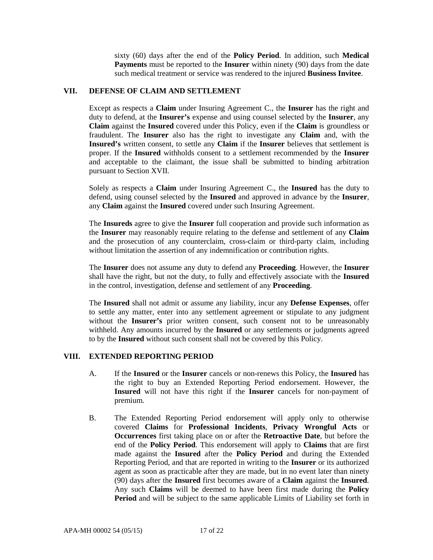sixty (60) days after the end of the **Policy Period**. In addition, such **Medical Payments** must be reported to the **Insurer** within ninety (90) days from the date such medical treatment or service was rendered to the injured **Business Invitee**.

## **VII. DEFENSE OF CLAIM AND SETTLEMENT**

Except as respects a **Claim** under Insuring Agreement C., the **Insurer** has the right and duty to defend, at the **Insurer's** expense and using counsel selected by the **Insurer**, any **Claim** against the **Insured** covered under this Policy, even if the **Claim** is groundless or fraudulent. The **Insurer** also has the right to investigate any **Claim** and, with the **Insured's** written consent, to settle any **Claim** if the **Insurer** believes that settlement is proper. If the **Insured** withholds consent to a settlement recommended by the **Insurer** and acceptable to the claimant, the issue shall be submitted to binding arbitration pursuant to Section XVII.

Solely as respects a **Claim** under Insuring Agreement C., the **Insured** has the duty to defend, using counsel selected by the **Insured** and approved in advance by the **Insurer**, any **Claim** against the **Insured** covered under such Insuring Agreement.

The **Insureds** agree to give the **Insurer** full cooperation and provide such information as the **Insurer** may reasonably require relating to the defense and settlement of any **Claim** and the prosecution of any counterclaim, cross-claim or third-party claim, including without limitation the assertion of any indemnification or contribution rights.

The **Insurer** does not assume any duty to defend any **Proceeding**. However, the **Insurer** shall have the right, but not the duty, to fully and effectively associate with the **Insured** in the control, investigation, defense and settlement of any **Proceeding**.

The **Insured** shall not admit or assume any liability, incur any **Defense Expenses**, offer to settle any matter, enter into any settlement agreement or stipulate to any judgment without the **Insurer's** prior written consent, such consent not to be unreasonably withheld. Any amounts incurred by the **Insured** or any settlements or judgments agreed to by the **Insured** without such consent shall not be covered by this Policy.

## **VIII. EXTENDED REPORTING PERIOD**

- A. If the **Insured** or the **Insurer** cancels or non-renews this Policy, the **Insured** has the right to buy an Extended Reporting Period endorsement. However, the **Insured** will not have this right if the **Insurer** cancels for non-payment of premium.
- B. The Extended Reporting Period endorsement will apply only to otherwise covered **Claims** for **Professional Incidents**, **Privacy Wrongful Acts** or **Occurrences** first taking place on or after the **Retroactive Date**, but before the end of the **Policy Period**. This endorsement will apply to **Claims** that are first made against the **Insured** after the **Policy Period** and during the Extended Reporting Period, and that are reported in writing to the **Insurer** or its authorized agent as soon as practicable after they are made, but in no event later than ninety (90) days after the **Insured** first becomes aware of a **Claim** against the **Insured**. Any such **Claims** will be deemed to have been first made during the **Policy Period** and will be subject to the same applicable Limits of Liability set forth in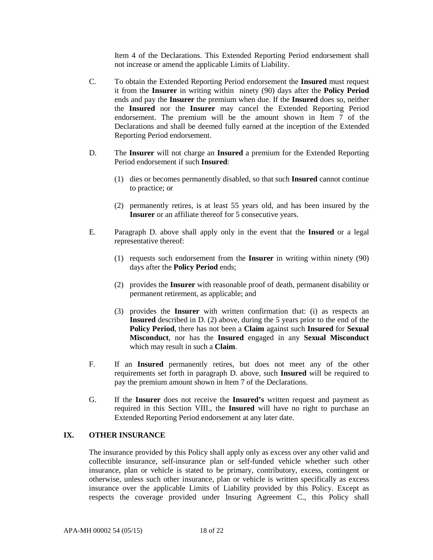Item 4 of the Declarations. This Extended Reporting Period endorsement shall not increase or amend the applicable Limits of Liability.

- C. To obtain the Extended Reporting Period endorsement the **Insured** must request it from the **Insurer** in writing within ninety (90) days after the **Policy Period** ends and pay the **Insurer** the premium when due. If the **Insured** does so, neither the **Insured** nor the **Insurer** may cancel the Extended Reporting Period endorsement. The premium will be the amount shown in Item 7 of the Declarations and shall be deemed fully earned at the inception of the Extended Reporting Period endorsement.
- D. The **Insurer** will not charge an **Insured** a premium for the Extended Reporting Period endorsement if such **Insured**:
	- (1) dies or becomes permanently disabled, so that such **Insured** cannot continue to practice; or
	- (2) permanently retires, is at least 55 years old, and has been insured by the **Insurer** or an affiliate thereof for 5 consecutive years.
- E. Paragraph D. above shall apply only in the event that the **Insured** or a legal representative thereof:
	- (1) requests such endorsement from the **Insurer** in writing within ninety (90) days after the **Policy Period** ends;
	- (2) provides the **Insurer** with reasonable proof of death, permanent disability or permanent retirement, as applicable; and
	- (3) provides the **Insurer** with written confirmation that: (i) as respects an **Insured** described in D. (2) above, during the 5 years prior to the end of the **Policy Period**, there has not been a **Claim** against such **Insured** for **Sexual Misconduct**, nor has the **Insured** engaged in any **Sexual Misconduct** which may result in such a **Claim**.
- F. If an **Insured** permanently retires, but does not meet any of the other requirements set forth in paragraph D. above, such **Insured** will be required to pay the premium amount shown in Item 7 of the Declarations.
- G. If the **Insurer** does not receive the **Insured's** written request and payment as required in this Section VIII., the **Insured** will have no right to purchase an Extended Reporting Period endorsement at any later date.

## **IX. OTHER INSURANCE**

The insurance provided by this Policy shall apply only as excess over any other valid and collectible insurance, self-insurance plan or self-funded vehicle whether such other insurance, plan or vehicle is stated to be primary, contributory, excess, contingent or otherwise, unless such other insurance, plan or vehicle is written specifically as excess insurance over the applicable Limits of Liability provided by this Policy. Except as respects the coverage provided under Insuring Agreement C., this Policy shall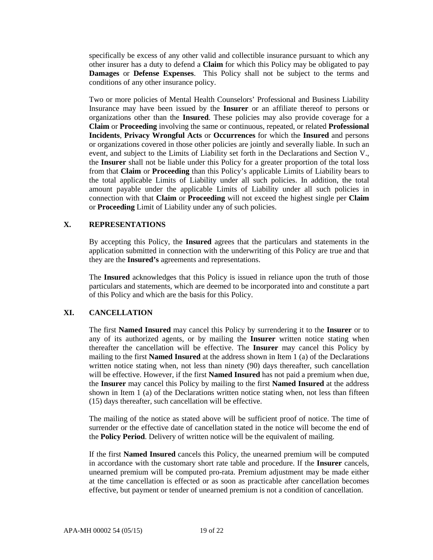specifically be excess of any other valid and collectible insurance pursuant to which any other insurer has a duty to defend a **Claim** for which this Policy may be obligated to pay **Damages** or **Defense Expenses**. This Policy shall not be subject to the terms and conditions of any other insurance policy.

Two or more policies of Mental Health Counselors' Professional and Business Liability Insurance may have been issued by the **Insurer** or an affiliate thereof to persons or organizations other than the **Insured**. These policies may also provide coverage for a **Claim** or **Proceeding** involving the same or continuous, repeated, or related **Professional Incidents**, **Privacy Wrongful Acts** or **Occurrences** for which the **Insured** and persons or organizations covered in those other policies are jointly and severally liable. In such an event, and subject to the Limits of Liability set forth in the Declarations and Section V., the **Insurer** shall not be liable under this Policy for a greater proportion of the total loss from that **Claim** or **Proceeding** than this Policy's applicable Limits of Liability bears to the total applicable Limits of Liability under all such policies. In addition, the total amount payable under the applicable Limits of Liability under all such policies in connection with that **Claim** or **Proceeding** will not exceed the highest single per **Claim** or **Proceeding** Limit of Liability under any of such policies.

#### **X. REPRESENTATIONS**

By accepting this Policy, the **Insured** agrees that the particulars and statements in the application submitted in connection with the underwriting of this Policy are true and that they are the **Insured's** agreements and representations.

The **Insured** acknowledges that this Policy is issued in reliance upon the truth of those particulars and statements, which are deemed to be incorporated into and constitute a part of this Policy and which are the basis for this Policy.

## **XI. CANCELLATION**

The first **Named Insured** may cancel this Policy by surrendering it to the **Insurer** or to any of its authorized agents, or by mailing the **Insurer** written notice stating when thereafter the cancellation will be effective. The **Insurer** may cancel this Policy by mailing to the first **Named Insured** at the address shown in Item 1 (a) of the Declarations written notice stating when, not less than ninety (90) days thereafter, such cancellation will be effective. However, if the first **Named Insured** has not paid a premium when due, the **Insurer** may cancel this Policy by mailing to the first **Named Insured** at the address shown in Item 1 (a) of the Declarations written notice stating when, not less than fifteen (15) days thereafter, such cancellation will be effective.

The mailing of the notice as stated above will be sufficient proof of notice. The time of surrender or the effective date of cancellation stated in the notice will become the end of the **Policy Period**. Delivery of written notice will be the equivalent of mailing.

If the first **Named Insured** cancels this Policy, the unearned premium will be computed in accordance with the customary short rate table and procedure. If the **Insurer** cancels, unearned premium will be computed pro-rata. Premium adjustment may be made either at the time cancellation is effected or as soon as practicable after cancellation becomes effective, but payment or tender of unearned premium is not a condition of cancellation.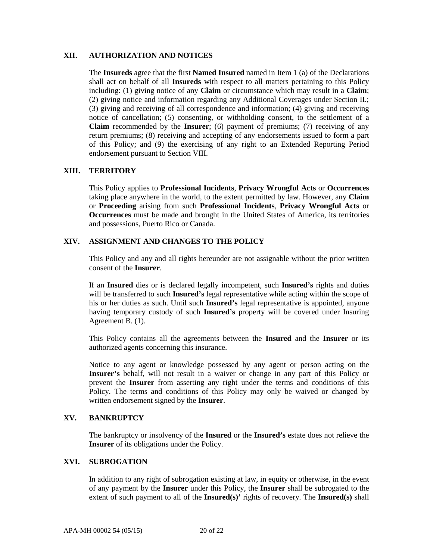#### **XII. AUTHORIZATION AND NOTICES**

The **Insureds** agree that the first **Named Insured** named in Item 1 (a) of the Declarations shall act on behalf of all **Insureds** with respect to all matters pertaining to this Policy including: (1) giving notice of any **Claim** or circumstance which may result in a **Claim**; (2) giving notice and information regarding any Additional Coverages under Section II.; (3) giving and receiving of all correspondence and information; (4) giving and receiving notice of cancellation; (5) consenting, or withholding consent, to the settlement of a **Claim** recommended by the **Insurer**; (6) payment of premiums; (7) receiving of any return premiums; (8) receiving and accepting of any endorsements issued to form a part of this Policy; and (9) the exercising of any right to an Extended Reporting Period endorsement pursuant to Section VIII.

## **XIII. TERRITORY**

This Policy applies to **Professional Incidents**, **Privacy Wrongful Acts** or **Occurrences** taking place anywhere in the world, to the extent permitted by law. However, any **Claim** or **Proceeding** arising from such **Professional Incidents**, **Privacy Wrongful Acts** or **Occurrences** must be made and brought in the United States of America, its territories and possessions, Puerto Rico or Canada.

## **XIV. ASSIGNMENT AND CHANGES TO THE POLICY**

This Policy and any and all rights hereunder are not assignable without the prior written consent of the **Insurer**.

If an **Insured** dies or is declared legally incompetent, such **Insured's** rights and duties will be transferred to such **Insured's** legal representative while acting within the scope of his or her duties as such. Until such **Insured's** legal representative is appointed, anyone having temporary custody of such **Insured's** property will be covered under Insuring Agreement B. (1).

This Policy contains all the agreements between the **Insured** and the **Insurer** or its authorized agents concerning this insurance.

Notice to any agent or knowledge possessed by any agent or person acting on the **Insurer's** behalf, will not result in a waiver or change in any part of this Policy or prevent the **Insurer** from asserting any right under the terms and conditions of this Policy. The terms and conditions of this Policy may only be waived or changed by written endorsement signed by the **Insurer**.

## **XV. BANKRUPTCY**

The bankruptcy or insolvency of the **Insured** or the **Insured's** estate does not relieve the **Insurer** of its obligations under the Policy.

#### **XVI. SUBROGATION**

In addition to any right of subrogation existing at law, in equity or otherwise, in the event of any payment by the **Insurer** under this Policy, the **Insurer** shall be subrogated to the extent of such payment to all of the **Insured(s)'** rights of recovery. The **Insured(s)** shall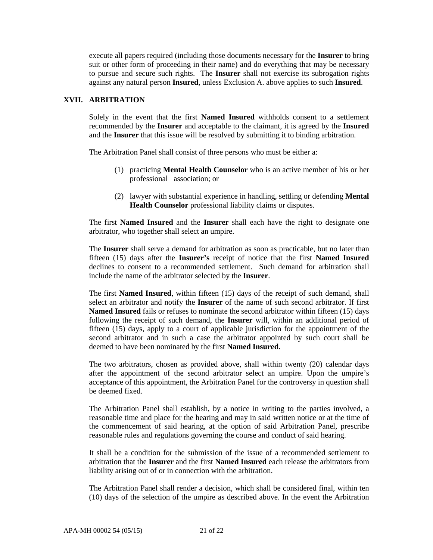execute all papers required (including those documents necessary for the **Insurer** to bring suit or other form of proceeding in their name) and do everything that may be necessary to pursue and secure such rights. The **Insurer** shall not exercise its subrogation rights against any natural person **Insured**, unless Exclusion A. above applies to such **Insured**.

## **XVII. ARBITRATION**

Solely in the event that the first **Named Insured** withholds consent to a settlement recommended by the **Insurer** and acceptable to the claimant, it is agreed by the **Insured** and the **Insurer** that this issue will be resolved by submitting it to binding arbitration.

The Arbitration Panel shall consist of three persons who must be either a:

- (1) practicing **Mental Health Counselor** who is an active member of his or her professional association; or
- (2) lawyer with substantial experience in handling, settling or defending **Mental Health Counselor** professional liability claims or disputes.

The first **Named Insured** and the **Insurer** shall each have the right to designate one arbitrator, who together shall select an umpire.

The **Insurer** shall serve a demand for arbitration as soon as practicable, but no later than fifteen (15) days after the **Insurer's** receipt of notice that the first **Named Insured** declines to consent to a recommended settlement. Such demand for arbitration shall include the name of the arbitrator selected by the **Insurer**.

The first **Named Insured**, within fifteen (15) days of the receipt of such demand, shall select an arbitrator and notify the **Insurer** of the name of such second arbitrator. If first **Named Insured** fails or refuses to nominate the second arbitrator within fifteen (15) days following the receipt of such demand, the **Insurer** will, within an additional period of fifteen (15) days, apply to a court of applicable jurisdiction for the appointment of the second arbitrator and in such a case the arbitrator appointed by such court shall be deemed to have been nominated by the first **Named Insured**.

The two arbitrators, chosen as provided above, shall within twenty (20) calendar days after the appointment of the second arbitrator select an umpire. Upon the umpire's acceptance of this appointment, the Arbitration Panel for the controversy in question shall be deemed fixed.

The Arbitration Panel shall establish, by a notice in writing to the parties involved, a reasonable time and place for the hearing and may in said written notice or at the time of the commencement of said hearing, at the option of said Arbitration Panel, prescribe reasonable rules and regulations governing the course and conduct of said hearing.

It shall be a condition for the submission of the issue of a recommended settlement to arbitration that the **Insurer** and the first **Named Insured** each release the arbitrators from liability arising out of or in connection with the arbitration.

The Arbitration Panel shall render a decision, which shall be considered final, within ten (10) days of the selection of the umpire as described above. In the event the Arbitration